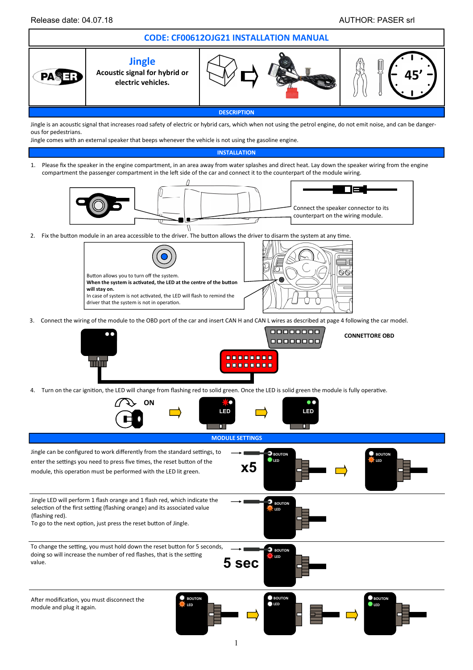